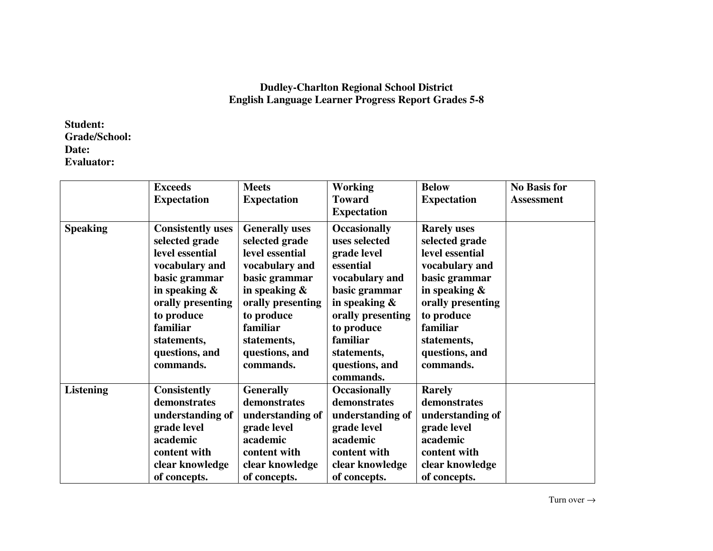## **Dudley-Charlton Regional School District English Language Learner Progress Report Grades 5-8**

**Student: Grade/School: Date: Evaluator:** 

|                  | <b>Exceeds</b>           | <b>Meets</b>          | <b>Working</b>      | <b>Below</b>       | <b>No Basis for</b> |
|------------------|--------------------------|-----------------------|---------------------|--------------------|---------------------|
|                  | <b>Expectation</b>       | <b>Expectation</b>    | <b>Toward</b>       | <b>Expectation</b> | <b>Assessment</b>   |
|                  |                          |                       | <b>Expectation</b>  |                    |                     |
| <b>Speaking</b>  | <b>Consistently uses</b> | <b>Generally uses</b> | <b>Occasionally</b> | <b>Rarely uses</b> |                     |
|                  | selected grade           | selected grade        | uses selected       | selected grade     |                     |
|                  | level essential          | level essential       | grade level         | level essential    |                     |
|                  | vocabulary and           | vocabulary and        | essential           | vocabulary and     |                     |
|                  | basic grammar            | basic grammar         | vocabulary and      | basic grammar      |                     |
|                  | in speaking $\&$         | in speaking $\&$      | basic grammar       | in speaking $\&$   |                     |
|                  | orally presenting        | orally presenting     | in speaking $\&$    | orally presenting  |                     |
|                  | to produce               | to produce            | orally presenting   | to produce         |                     |
|                  | familiar                 | familiar              | to produce          | familiar           |                     |
|                  | statements,              | statements,           | familiar            | statements,        |                     |
|                  | questions, and           | questions, and        | statements,         | questions, and     |                     |
|                  | commands.                | commands.             | questions, and      | commands.          |                     |
|                  |                          |                       | commands.           |                    |                     |
| <b>Listening</b> | <b>Consistently</b>      | <b>Generally</b>      | <b>Occasionally</b> | <b>Rarely</b>      |                     |
|                  | demonstrates             | demonstrates          | demonstrates        | demonstrates       |                     |
|                  | understanding of         | understanding of      | understanding of    | understanding of   |                     |
|                  | grade level              | grade level           | grade level         | grade level        |                     |
|                  | academic                 | academic              | academic            | academic           |                     |
|                  | content with             | content with          | content with        | content with       |                     |
|                  | clear knowledge          | clear knowledge       | clear knowledge     | clear knowledge    |                     |
|                  | of concepts.             | of concepts.          | of concepts.        | of concepts.       |                     |